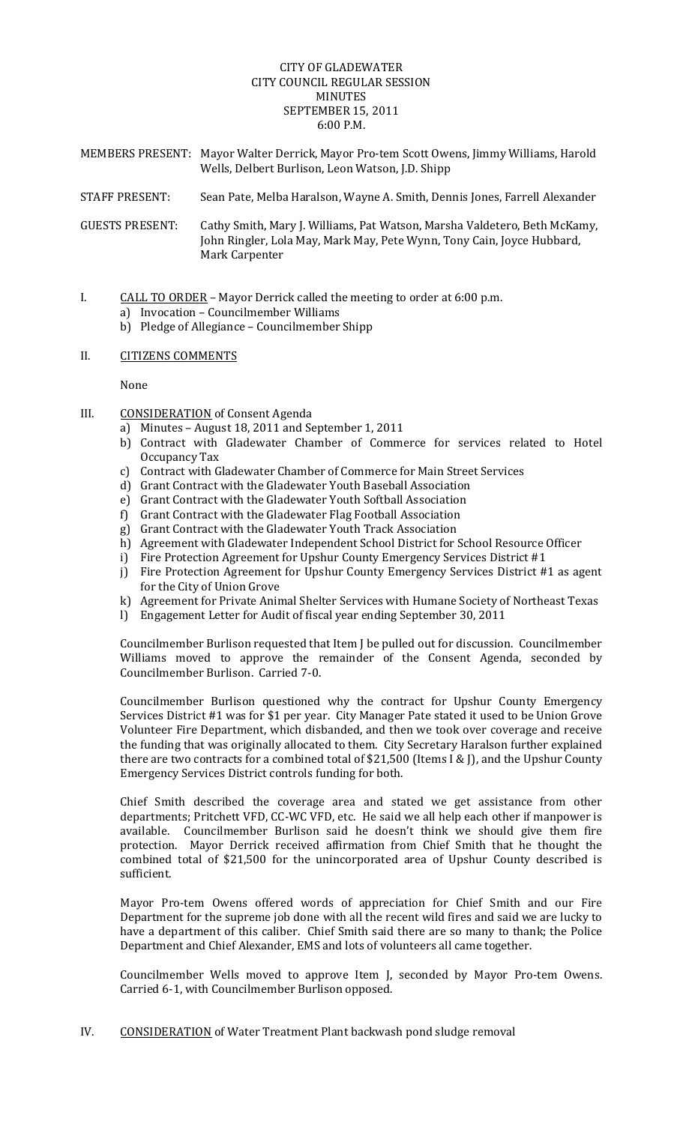# CITY OF GLADEWATER CITY COUNCIL REGULAR SESSION MINUTES SEPTEMBER 15, 2011 6:00 P.M.

- MEMBERS PRESENT: Mayor Walter Derrick, Mayor Pro‐tem Scott Owens, Jimmy Williams, Harold Wells, Delbert Burlison, Leon Watson, J.D. Shipp
- STAFF PRESENT: Sean Pate, Melba Haralson, Wayne A. Smith, Dennis Jones, Farrell Alexander

GUESTS PRESENT: Cathy Smith, Mary J. Williams, Pat Watson, Marsha Valdetero, Beth McKamy, John Ringler, Lola May, Mark May, Pete Wynn, Tony Cain, Joyce Hubbard, Mark Carpenter

- I. CALL TO ORDER Mayor Derrick called the meeting to order at 6:00 p.m.
	- a) Invocation Councilmember Williams
	- b) Pledge of Allegiance Councilmember Shipp
- II. CITIZENS COMMENTS

None

- III. CONSIDERATION of Consent Agenda
	- a) Minutes August 18, 2011 and September 1, 2011
	- b) Contract with Gladewater Chamber of Commerce for services related to Hotel Occupancy Tax
	- c) Contract with Gladewater Chamber of Commerce for Main Street Services
	- d) Grant Contract with the Gladewater Youth Baseball Association
	- e) Grant Contract with the Gladewater Youth Softball Association
	- f) Grant Contract with the Gladewater Flag Football Association
	- g) Grant Contract with the Gladewater Youth Track Association
	- h) Agreement with Gladewater Independent School District for School Resource Officer
	- i) Fire Protection Agreement for Upshur County Emergency Services District #1
	- j) Fire Protection Agreement for Upshur County Emergency Services District #1 as agent for the City of Union Grove
	- k) Agreement for Private Animal Shelter Services with Humane Society of Northeast Texas
	- l) Engagement Letter for Audit of fiscal year ending September 30, 2011

Councilmember Burlison requested that Item J be pulled out for discussion. Councilmember Williams moved to approve the remainder of the Consent Agenda, seconded by Councilmember Burlison. Carried 7‐0.

Councilmember Burlison questioned why the contract for Upshur County Emergency Services District #1 was for \$1 per year. City Manager Pate stated it used to be Union Grove Volunteer Fire Department, which disbanded, and then we took over coverage and receive the funding that was originally allocated to them. City Secretary Haralson further explained there are two contracts for a combined total of \$21,500 (Items I & J), and the Upshur County Emergency Services District controls funding for both.

Chief Smith described the coverage area and stated we get assistance from other departments; Pritchett VFD, CC‐WC VFD, etc. He said we all help each other if manpower is available. Councilmember Burlison said he doesn't think we should give them fire protection. Mayor Derrick received affirmation from Chief Smith that he thought the combined total of \$21,500 for the unincorporated area of Upshur County described is sufficient.

Mayor Pro-tem Owens offered words of appreciation for Chief Smith and our Fire Department for the supreme job done with all the recent wild fires and said we are lucky to have a department of this caliber. Chief Smith said there are so many to thank; the Police Department and Chief Alexander, EMS and lots of volunteers all came together.

Councilmember Wells moved to approve Item J, seconded by Mayor Pro‐tem Owens. Carried 6‐1, with Councilmember Burlison opposed.

IV. CONSIDERATION of Water Treatment Plant backwash pond sludge removal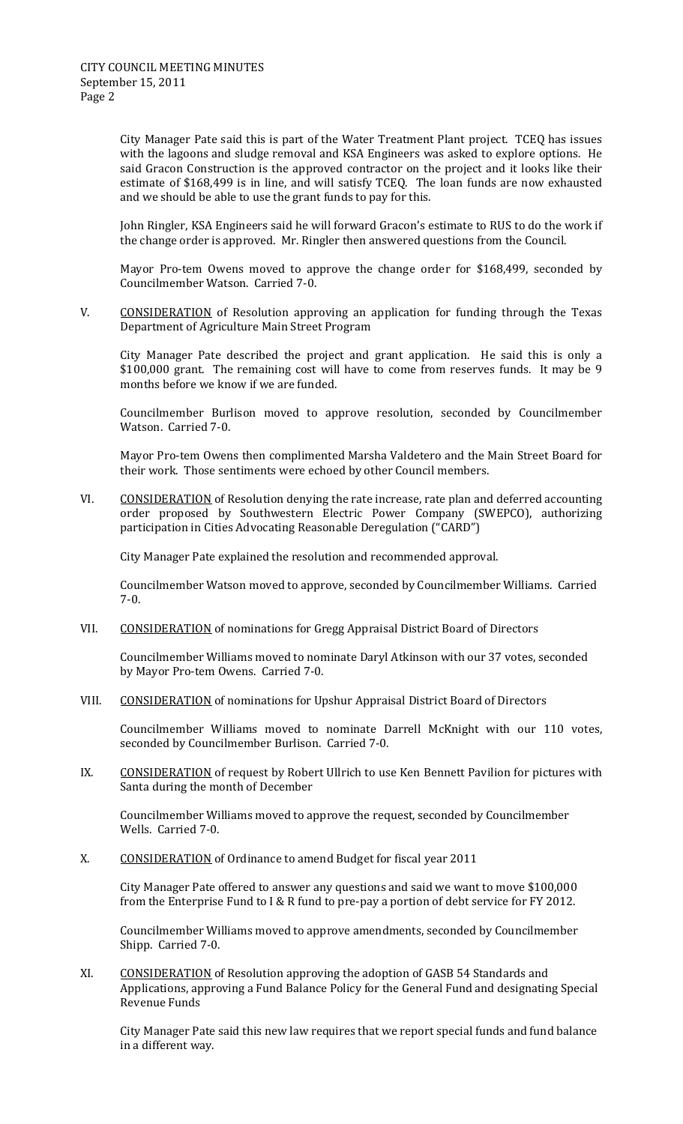City Manager Pate said this is part of the Water Treatment Plant project. TCEQ has issues with the lagoons and sludge removal and KSA Engineers was asked to explore options. He said Gracon Construction is the approved contractor on the project and it looks like their estimate of \$168,499 is in line, and will satisfy TCEQ. The loan funds are now exhausted and we should be able to use the grant funds to pay for this.

 John Ringler, KSA Engineers said he will forward Gracon's estimate to RUS to do the work if the change order is approved. Mr. Ringler then answered questions from the Council.

Mayor Pro-tem Owens moved to approve the change order for \$168,499, seconded by Councilmember Watson. Carried 7‐0.

V. CONSIDERATION of Resolution approving an application for funding through the Texas Department of Agriculture Main Street Program

City Manager Pate described the project and grant application. He said this is only a \$100,000 grant. The remaining cost will have to come from reserves funds. It may be 9 months before we know if we are funded.

Councilmember Burlison moved to approve resolution, seconded by Councilmember Watson. Carried 7‐0.

Mayor Pro‐tem Owens then complimented Marsha Valdetero and the Main Street Board for their work. Those sentiments were echoed by other Council members.

VI. CONSIDERATION of Resolution denying the rate increase, rate plan and deferred accounting order proposed by Southwestern Electric Power Company (SWEPCO), authorizing participation in Cities Advocating Reasonable Deregulation ("CARD")

City Manager Pate explained the resolution and recommended approval.

Councilmember Watson moved to approve, seconded by Councilmember Williams. Carried 7‐0.

VII. CONSIDERATION of nominations for Gregg Appraisal District Board of Directors

Councilmember Williams moved to nominate Daryl Atkinson with our 37 votes, seconded by Mayor Pro‐tem Owens. Carried 7‐0.

VIII. CONSIDERATION of nominations for Upshur Appraisal District Board of Directors

Councilmember Williams moved to nominate Darrell McKnight with our 110 votes, seconded by Councilmember Burlison. Carried 7‐0.

IX. CONSIDERATION of request by Robert Ullrich to use Ken Bennett Pavilion for pictures with Santa during the month of December

Councilmember Williams moved to approve the request, seconded by Councilmember Wells. Carried 7‐0.

X. CONSIDERATION of Ordinance to amend Budget for fiscal year 2011

City Manager Pate offered to answer any questions and said we want to move \$100,000 from the Enterprise Fund to I & R fund to pre-pay a portion of debt service for FY 2012.

Councilmember Williams moved to approve amendments, seconded by Councilmember Shipp. Carried 7‐0.

XI. CONSIDERATION of Resolution approving the adoption of GASB 54 Standards and Applications, approving a Fund Balance Policy for the General Fund and designating Special Revenue Funds

City Manager Pate said this new law requires that we report special funds and fund balance in a different way.